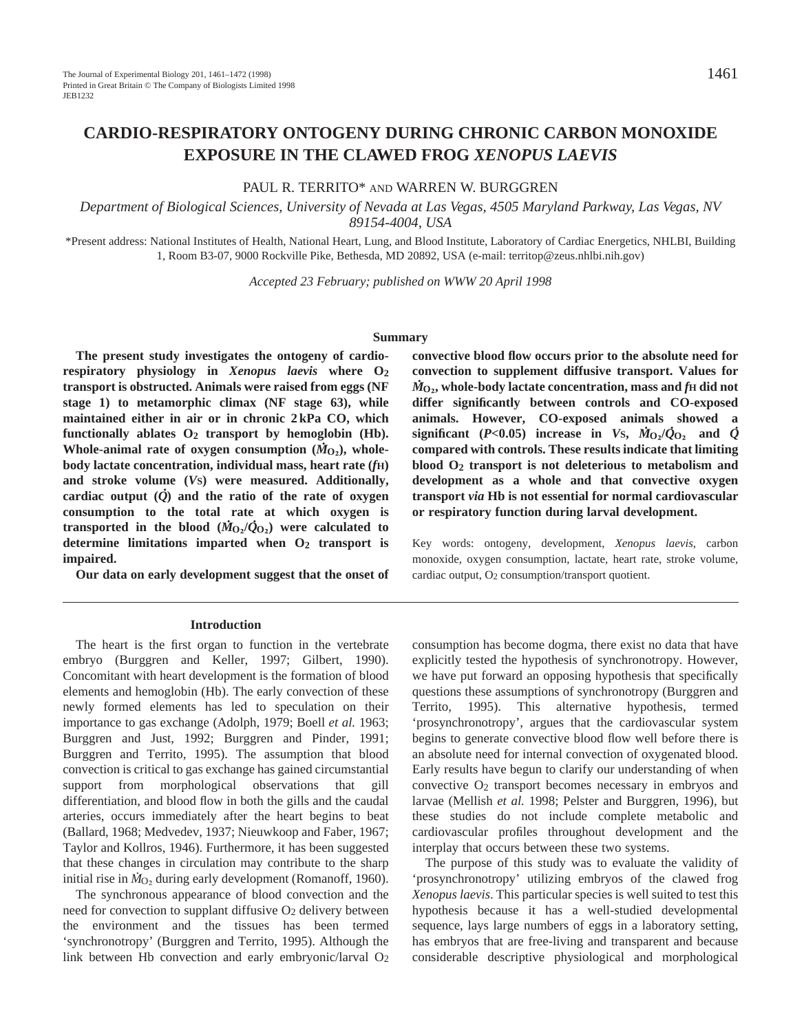PAUL R. TERRITO\* AND WARREN W. BURGGREN

**EXPOSURE IN THE CLAWED FROG** *XENOPUS LAEVIS*

*Department of Biological Sciences, University of Nevada at Las Vegas, 4505 Maryland Parkway, Las Vegas, NV 89154-4004, USA*

\*Present address: National Institutes of Health, National Heart, Lung, and Blood Institute, Laboratory of Cardiac Energetics, NHLBI, Building 1, Room B3-07, 9000 Rockville Pike, Bethesda, MD 20892, USA (e-mail: territop@zeus.nhlbi.nih.gov)

*Accepted 23 February; published on WWW 20 April 1998*

#### **Summary**

**The present study investigates the ontogeny of cardiorespiratory physiology in** *Xenopus laevis* **where O2 transport is obstructed. Animals were raised from eggs (NF stage 1) to metamorphic climax (NF stage 63), while maintained either in air or in chronic 2 kPa CO, which functionally ablates O<sub>2</sub> <b>transport** by hemoglobin (Hb). Whole-animal rate of oxygen consumption  $(M_{O_2})$ , whole**body lactate concentration, individual mass, heart rate (***f***H)** and stroke volume (*V*<sub>S</sub>) were measured. Additionally, **cardiac output (***Q* **) and the ratio of the rate of oxygen consumption to the total rate at which oxygen is . transported in the blood**  $(M_{Q_2}/\hat{Q}_{Q_2})$  were calculated to **determine limitations imparted when O2 transport is impaired.**

**Our data on early development suggest that the onset of**

#### **Introduction**

The heart is the first organ to function in the vertebrate embryo (Burggren and Keller, 1997; Gilbert, 1990). Concomitant with heart development is the formation of blood elements and hemoglobin (Hb). The early convection of these newly formed elements has led to speculation on their importance to gas exchange (Adolph, 1979; Boell *et al.* 1963; Burggren and Just, 1992; Burggren and Pinder, 1991; Burggren and Territo, 1995). The assumption that blood convection is critical to gas exchange has gained circumstantial support from morphological observations that gill differentiation, and blood flow in both the gills and the caudal arteries, occurs immediately after the heart begins to beat (Ballard, 1968; Medvedev, 1937; Nieuwkoop and Faber, 1967; Taylor and Kollros, 1946). Furthermore, it has been suggested that these changes in circulation may contribute to the sharp . initial rise in  $\dot{M}_{\text{O}_2}$  during early development (Romanoff, 1960).

The synchronous appearance of blood convection and the need for convection to supplant diffusive  $O<sub>2</sub>$  delivery between the environment and the tissues has been termed 'synchronotropy' (Burggren and Territo, 1995). Although the link between Hb convection and early embryonic/larval  $O<sub>2</sub>$  **convective blood flow occurs prior to the absolute need for convection to supplement diffusive transport. Values for .**  $\dot{M}_\mathrm{O_2}$ , whole-body lactate concentration, mass and  $f$ H did not **differ significantly between controls and CO-exposed animals. However, CO-exposed animals showed a significant** (*P<***0.05**) increase in *V*s,  $\dot{M}_{Q_2}/\dot{Q}_{Q_2}$  and  $\dot{Q}$ **compared with controls. These results indicate that limiting blood O2 transport is not deleterious to metabolism and development as a whole and that convective oxygen transport** *via* **Hb is not essential for normal cardiovascular or respiratory function during larval development.**

Key words: ontogeny, development, *Xenopus laevis*, carbon monoxide, oxygen consumption, lactate, heart rate, stroke volume, cardiac output, O<sub>2</sub> consumption/transport quotient.

consumption has become dogma, there exist no data that have explicitly tested the hypothesis of synchronotropy. However, we have put forward an opposing hypothesis that specifically questions these assumptions of synchronotropy (Burggren and Territo, 1995). This alternative hypothesis, termed 'prosynchronotropy', argues that the cardiovascular system begins to generate convective blood flow well before there is an absolute need for internal convection of oxygenated blood. Early results have begun to clarify our understanding of when convective O2 transport becomes necessary in embryos and larvae (Mellish *et al.* 1998; Pelster and Burggren, 1996), but these studies do not include complete metabolic and cardiovascular profiles throughout development and the interplay that occurs between these two systems.

The purpose of this study was to evaluate the validity of 'prosynchronotropy' utilizing embryos of the clawed frog *Xenopus laevis*. This particular species is well suited to test this hypothesis because it has a well-studied developmental sequence, lays large numbers of eggs in a laboratory setting, has embryos that are free-living and transparent and because considerable descriptive physiological and morphological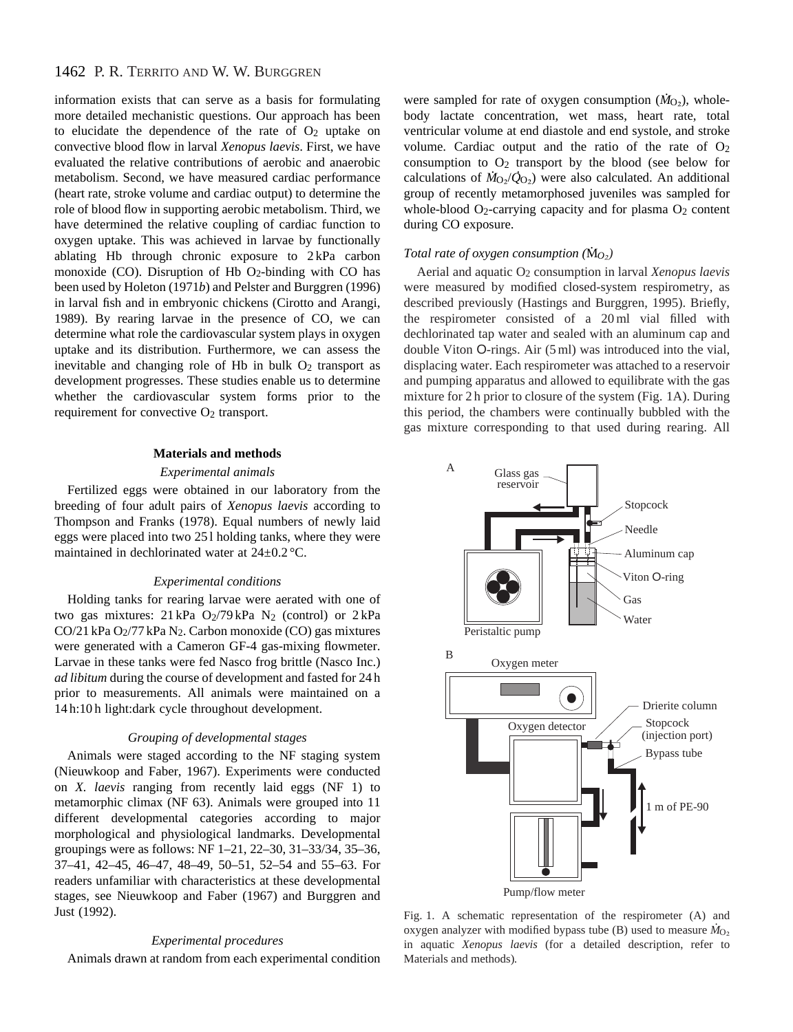information exists that can serve as a basis for formulating more detailed mechanistic questions. Our approach has been to elucidate the dependence of the rate of  $O<sub>2</sub>$  uptake on convective blood flow in larval *Xenopus laevis*. First, we have evaluated the relative contributions of aerobic and anaerobic metabolism. Second, we have measured cardiac performance (heart rate, stroke volume and cardiac output) to determine the role of blood flow in supporting aerobic metabolism. Third, we have determined the relative coupling of cardiac function to oxygen uptake. This was achieved in larvae by functionally ablating Hb through chronic exposure to 2 kPa carbon monoxide  $(CO)$ . Disruption of Hb  $O_2$ -binding with CO has been used by Holeton (1971*b*) and Pelster and Burggren (1996) in larval fish and in embryonic chickens (Cirotto and Arangi, 1989). By rearing larvae in the presence of CO, we can determine what role the cardiovascular system plays in oxygen uptake and its distribution. Furthermore, we can assess the inevitable and changing role of Hb in bulk  $O<sub>2</sub>$  transport as development progresses. These studies enable us to determine whether the cardiovascular system forms prior to the requirement for convective O<sub>2</sub> transport.

### **Materials and methods**

## *Experimental animals*

Fertilized eggs were obtained in our laboratory from the breeding of four adult pairs of *Xenopus laevis* according to Thompson and Franks (1978). Equal numbers of newly laid eggs were placed into two 25 l holding tanks, where they were maintained in dechlorinated water at 24±0.2 °C.

### *Experimental conditions*

Holding tanks for rearing larvae were aerated with one of two gas mixtures:  $21 \text{ kPa}$  O<sub>2</sub>/79 kPa N<sub>2</sub> (control) or  $2 \text{ kPa}$ CO/21 kPa O2/77 kPa N2. Carbon monoxide (CO) gas mixtures were generated with a Cameron GF-4 gas-mixing flowmeter. Larvae in these tanks were fed Nasco frog brittle (Nasco Inc.) *ad libitum* during the course of development and fasted for 24 h prior to measurements. All animals were maintained on a 14 h:10 h light:dark cycle throughout development.

### *Grouping of developmental stages*

Animals were staged according to the NF staging system (Nieuwkoop and Faber, 1967). Experiments were conducted on *X. laevis* ranging from recently laid eggs (NF 1) to metamorphic climax (NF 63). Animals were grouped into 11 different developmental categories according to major morphological and physiological landmarks. Developmental groupings were as follows: NF 1–21, 22–30, 31–33/34, 35–36, 37–41, 42–45, 46–47, 48–49, 50–51, 52–54 and 55–63. For readers unfamiliar with characteristics at these developmental stages, see Nieuwkoop and Faber (1967) and Burggren and Just (1992).

# *Experimental procedures*

Animals drawn at random from each experimental condition

were sampled for rate of oxygen consumption  $(M<sub>O<sub>2</sub></sub>)$ , wholebody lactate concentration, wet mass, heart rate, total ventricular volume at end diastole and end systole, and stroke volume. Cardiac output and the ratio of the rate of  $O<sub>2</sub>$ consumption to  $O_2$  transport by the blood (see below for calculations of  $\dot{M}_{\text{O}_2}/\dot{Q}_{\text{O}_2}$  were also calculated. An additional group of recently metamorphosed juveniles was sampled for whole-blood  $O_2$ -carrying capacity and for plasma  $O_2$  content during CO exposure.

# *Total rate of oxygen consumption (* $\rm \dot{M}_{O_2}$ *)*

Aerial and aquatic O2 consumption in larval *Xenopus laevis* were measured by modified closed-system respirometry, as described previously (Hastings and Burggren, 1995). Briefly, the respirometer consisted of a 20 ml vial filled with dechlorinated tap water and sealed with an aluminum cap and double Viton O-rings. Air (5 ml) was introduced into the vial, displacing water. Each respirometer was attached to a reservoir and pumping apparatus and allowed to equilibrate with the gas mixture for 2 h prior to closure of the system (Fig. 1A). During this period, the chambers were continually bubbled with the gas mixture corresponding to that used during rearing. All



Fig. 1. A schematic representation of the respirometer (A) and oxygen analyzer with modified bypass tube (B) used to measure *M*<sup>O2</sup> in aquatic *Xenopus laevis* (for a detailed description, refer to Materials and methods)*.*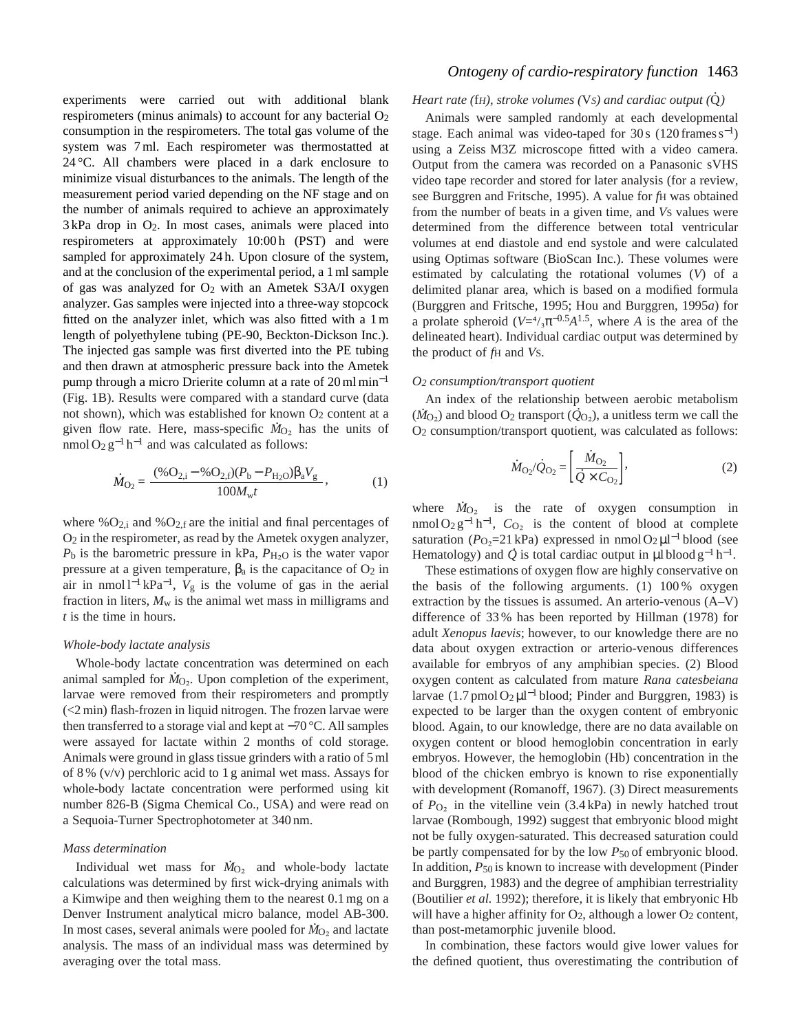experiments were carried out with additional blank respirometers (minus animals) to account for any bacterial  $O<sub>2</sub>$ consumption in the respirometers. The total gas volume of the system was 7 ml. Each respirometer was thermostatted at 24 °C. All chambers were placed in a dark enclosure to minimize visual disturbances to the animals. The length of the measurement period varied depending on the NF stage and on the number of animals required to achieve an approximately  $3$  kPa drop in  $O_2$ . In most cases, animals were placed into respirometers at approximately 10:00 h (PST) and were sampled for approximately 24 h. Upon closure of the system, and at the conclusion of the experimental period, a 1 ml sample of gas was analyzed for  $O_2$  with an Ametek S3A/I oxygen analyzer. Gas samples were injected into a three-way stopcock fitted on the analyzer inlet, which was also fitted with a 1 m length of polyethylene tubing (PE-90, Beckton-Dickson Inc.). The injected gas sample was first diverted into the PE tubing and then drawn at atmospheric pressure back into the Ametek pump through a micro Drierite column at a rate of 20 ml min<sup>-1</sup> (Fig. 1B). Results were compared with a standard curve (data not shown), which was established for known  $O_2$  content at a given flow rate. Here, mass-specific  $\dot{M}_{\text{O}_2}$  has the units of nmol  $O_2 g^{-1} h^{-1}$  and was calculated as follows:

$$
\dot{M}_{\text{O}_2} = \frac{(\% \text{O}_{2,i} - \% \text{O}_{2,f})(P_b - P_{\text{H}_2\text{O}}) \beta_a V_g}{100 M_{\text{w}} t}, \tag{1}
$$

where  $\%O_{2,i}$  and  $\%O_{2,f}$  are the initial and final percentages of  $O<sub>2</sub>$  in the respirometer, as read by the Ametek oxygen analyzer,  $P_b$  is the barometric pressure in kPa,  $P_{H_2O}$  is the water vapor pressure at a given temperature,  $\beta_a$  is the capacitance of  $O_2$  in air in nmol l−<sup>1</sup> kPa<sup>−</sup>1, *V*<sup>g</sup> is the volume of gas in the aerial fraction in liters,  $M_w$  is the animal wet mass in milligrams and *t* is the time in hours.

#### *Whole-body lactate analysis*

Whole-body lactate concentration was determined on each animal sampled for  $\dot{M}_{\text{O}_2}$ . Upon completion of the experiment, larvae were removed from their respirometers and promptly (<2 min) flash-frozen in liquid nitrogen. The frozen larvae were then transferred to a storage vial and kept at −70 °C. All samples were assayed for lactate within 2 months of cold storage. Animals were ground in glass tissue grinders with a ratio of 5 ml of 8 % (v/v) perchloric acid to 1 g animal wet mass. Assays for whole-body lactate concentration were performed using kit number 826-B (Sigma Chemical Co., USA) and were read on a Sequoia-Turner Spectrophotometer at 340 nm.

### *Mass determination*

Individual wet mass for  $\dot{M}_{O_2}$  and whole-body lactate calculations was determined by first wick-drying animals with a Kimwipe and then weighing them to the nearest 0.1 mg on a Denver Instrument analytical micro balance, model AB-300. . In most cases, several animals were pooled for  $\dot{M}_{O_2}$  and lactate analysis. The mass of an individual mass was determined by averaging over the total mass.

# *Ontogeny of cardio-respiratory function* 1463

#### *Heart rate (*f*H), stroke volumes (*V*S) and cardiac output (*Q *. )*

Animals were sampled randomly at each developmental stage. Each animal was video-taped for 30 s  $(120 \text{ frames s}^{-1})$ using a Zeiss M3Z microscope fitted with a video camera. Output from the camera was recorded on a Panasonic sVHS video tape recorder and stored for later analysis (for a review, see Burggren and Fritsche, 1995). A value for *f*H was obtained from the number of beats in a given time, and *V*S values were determined from the difference between total ventricular volumes at end diastole and end systole and were calculated using Optimas software (BioScan Inc.). These volumes were estimated by calculating the rotational volumes (*V*) of a delimited planar area, which is based on a modified formula (Burggren and Fritsche, 1995; Hou and Burggren, 1995*a*) for a prolate spheroid ( $V=4/3\pi^{-0.5}A^{1.5}$ , where *A* is the area of the delineated heart). Individual cardiac output was determined by the product of *f*H and *V*S.

#### *O2 consumption/transport quotient*

An index of the relationship between aerobic metabolism An muex of the relationship between aerobic metabolism<br>( $\dot{M}_{\text{O}_2}$ ) and blood  $\text{O}_2$  transport ( $\dot{Q}_{\text{O}_2}$ ), a unitless term we call the O2 consumption/transport quotient, was calculated as follows:

$$
\dot{M}_{\text{O}_2}/\dot{Q}_{\text{O}_2} = \left[\frac{\dot{M}_{\text{O}_2}}{\dot{Q} \times C_{\text{O}_2}}\right],\tag{2}
$$

where  $\dot{M}_{\text{O}_2}$  is the rate of oxygen consumption in nmol O<sub>2</sub> g<sup>-1</sup> h<sup>-1</sup>,  $C_{\text{O}}$  is the content of blood at complete saturation  $(P_{Q_2} = 21 \text{ kPa})$  expressed in nmol  $Q_2 \mu l^{-1}$  blood (see Hematology) and  $\dot{Q}$  is total cardiac output in  $\mu$ l blood g<sup>-1</sup> h<sup>-1</sup>.

These estimations of oxygen flow are highly conservative on the basis of the following arguments. (1) 100 % oxygen extraction by the tissues is assumed. An arterio-venous (A–V) difference of 33 % has been reported by Hillman (1978) for adult *Xenopus laevis*; however, to our knowledge there are no data about oxygen extraction or arterio-venous differences available for embryos of any amphibian species. (2) Blood oxygen content as calculated from mature *Rana catesbeiana* larvae  $(1.7 \text{ pmol O}_2 \mu l^{-1}$  blood; Pinder and Burggren, 1983) is expected to be larger than the oxygen content of embryonic blood. Again, to our knowledge, there are no data available on oxygen content or blood hemoglobin concentration in early embryos. However, the hemoglobin (Hb) concentration in the blood of the chicken embryo is known to rise exponentially with development (Romanoff, 1967). (3) Direct measurements of  $P_{\text{O}_2}$  in the vitelline vein (3.4 kPa) in newly hatched trout larvae (Rombough, 1992) suggest that embryonic blood might not be fully oxygen-saturated. This decreased saturation could be partly compensated for by the low  $P_{50}$  of embryonic blood. In addition, *P*50 is known to increase with development (Pinder and Burggren, 1983) and the degree of amphibian terrestriality (Boutilier *et al.* 1992); therefore, it is likely that embryonic Hb will have a higher affinity for  $O_2$ , although a lower  $O_2$  content, than post-metamorphic juvenile blood.

In combination, these factors would give lower values for the defined quotient, thus overestimating the contribution of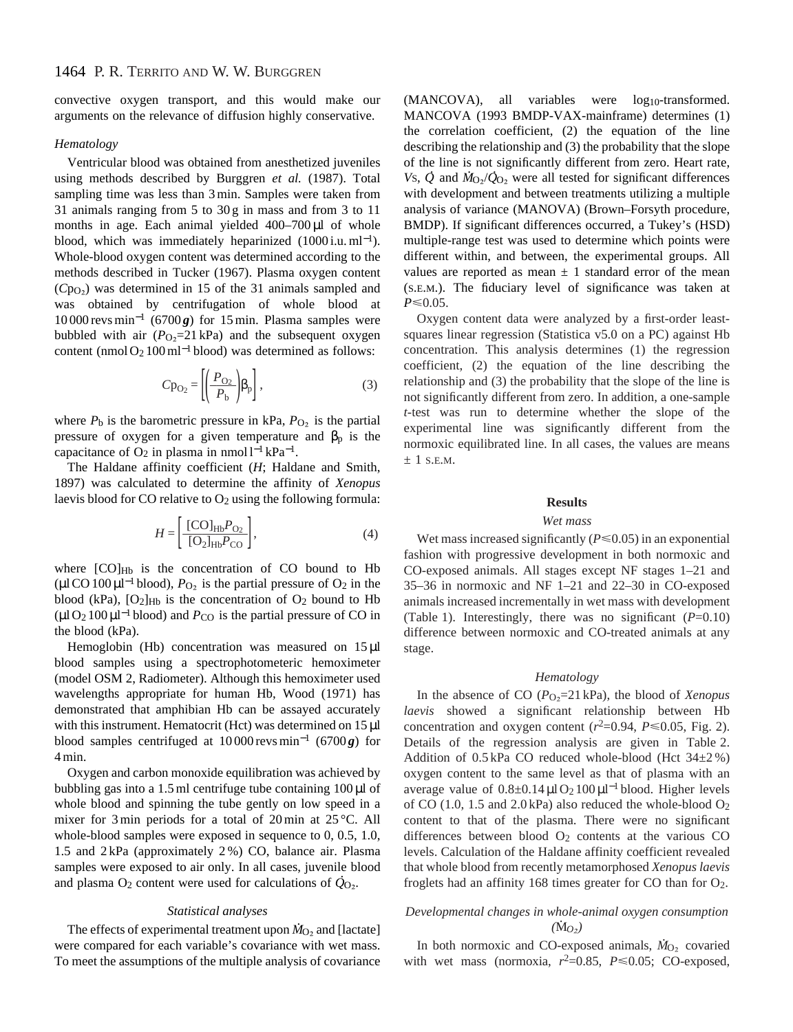convective oxygen transport, and this would make our arguments on the relevance of diffusion highly conservative.

## *Hematology*

Ventricular blood was obtained from anesthetized juveniles using methods described by Burggren *et al.* (1987). Total sampling time was less than 3 min. Samples were taken from 31 animals ranging from 5 to 30 g in mass and from 3 to 11 months in age. Each animal yielded 400–700 µl of whole blood, which was immediately heparinized  $(1000$  i.u. ml<sup>-1</sup>). Whole-blood oxygen content was determined according to the methods described in Tucker (1967). Plasma oxygen content (*C*pO∑) was determined in 15 of the 31 animals sampled and was obtained by centrifugation of whole blood at  $10000$  revs min<sup>-1</sup> (6700 $g$ ) for 15 min. Plasma samples were bubbled with air  $(P<sub>O</sub>=21$  kPa) and the subsequent oxygen content (nmol O2 100 ml−<sup>1</sup> blood) was determined as follows:

$$
Cp_{O_2} = \left[ \left( \frac{P_{O_2}}{P_b} \right) \beta_p \right],\tag{3}
$$

where  $P_b$  is the barometric pressure in kPa,  $P_{O_2}$  is the partial pressure of oxygen for a given temperature and  $\beta_p$  is the capacitance of  $O_2$  in plasma in nmol l<sup>-1</sup> kPa<sup>-1</sup>.

The Haldane affinity coefficient (*H*; Haldane and Smith, 1897) was calculated to determine the affinity of *Xenopus* laevis blood for CO relative to O<sub>2</sub> using the following formula:

$$
H = \left[\frac{[\text{CO}]_{\text{Hb}} P_{\text{O}_2}}{[\text{O}_2]_{\text{Hb}} P_{\text{CO}}}\right],\tag{4}
$$

where  $[CO]_{Hb}$  is the concentration of CO bound to Hb  $(\mu$ l CO 100 $\mu$ l<sup>-1</sup> blood),  $P_{\text{O}_2}$  is the partial pressure of O<sub>2</sub> in the blood (kPa),  $[O_2]_{Hb}$  is the concentration of  $O_2$  bound to Hb  $(\mu$ l O<sub>2</sub> 100 $\mu$ l<sup>-1</sup> blood) and *P*<sub>CO</sub> is the partial pressure of CO in the blood (kPa).

Hemoglobin (Hb) concentration was measured on  $15 \mu l$ blood samples using a spectrophotometeric hemoximeter (model OSM 2, Radiometer). Although this hemoximeter used wavelengths appropriate for human Hb, Wood (1971) has demonstrated that amphibian Hb can be assayed accurately with this instrument. Hematocrit (Hct) was determined on 15 µl blood samples centrifuged at 10 000 revs min−<sup>1</sup> (6700 *g*) for 4 min.

Oxygen and carbon monoxide equilibration was achieved by bubbling gas into a 1.5 ml centrifuge tube containing  $100 \mu$ l of whole blood and spinning the tube gently on low speed in a mixer for 3 min periods for a total of 20 min at 25 °C. All whole-blood samples were exposed in sequence to 0, 0.5, 1.0, 1.5 and 2 kPa (approximately 2 %) CO, balance air. Plasma samples were exposed to air only. In all cases, juvenile blood and plasma O<sub>2</sub> content were used for calculations of  $\dot{Q}_{O_2}$ .

#### *Statistical analyses*

The effects of experimental treatment upon  $\dot{M}_{O_2}$  and [lactate] were compared for each variable's covariance with wet mass. To meet the assumptions of the multiple analysis of covariance

(MANCOVA), all variables were log<sub>10</sub>-transformed. MANCOVA (1993 BMDP-VAX-mainframe) determines (1) the correlation coefficient, (2) the equation of the line describing the relationship and (3) the probability that the slope of the line is not significantly different from zero. Heart rate, *Vs*,  $\dot{Q}$  and  $\dot{M}_{Q_2}/\dot{Q}_{Q_2}$  were all tested for significant differences with development and between treatments utilizing a multiple analysis of variance (MANOVA) (Brown–Forsyth procedure, BMDP). If significant differences occurred, a Tukey's (HSD) multiple-range test was used to determine which points were different within, and between, the experimental groups. All values are reported as mean  $\pm$  1 standard error of the mean (S.E.M.). The fiduciary level of significance was taken at  $P \le 0.05$ .

Oxygen content data were analyzed by a first-order leastsquares linear regression (Statistica v5.0 on a PC) against Hb concentration. This analysis determines (1) the regression coefficient, (2) the equation of the line describing the relationship and (3) the probability that the slope of the line is not significantly different from zero. In addition, a one-sample *t*-test was run to determine whether the slope of the experimental line was significantly different from the normoxic equilibrated line. In all cases, the values are means  $\pm$  1 s.e.m.

### **Results**

### *Wet mass*

Wet mass increased significantly  $(P \le 0.05)$  in an exponential fashion with progressive development in both normoxic and CO-exposed animals. All stages except NF stages 1–21 and 35–36 in normoxic and NF 1–21 and 22–30 in CO-exposed animals increased incrementally in wet mass with development (Table 1). Interestingly, there was no significant  $(P=0.10)$ difference between normoxic and CO-treated animals at any stage.

#### *Hematology*

In the absence of CO (*P*O∑=21 kPa), the blood of *Xenopus laevis* showed a significant relationship between Hb concentration and oxygen content  $(r^2=0.94, P\leq 0.05,$  Fig. 2). Details of the regression analysis are given in Table 2. Addition of  $0.5$  kPa CO reduced whole-blood (Hct  $34\pm2\%$ ) oxygen content to the same level as that of plasma with an average value of  $0.8 \pm 0.14 \,\mu\text{l}$  O<sub>2</sub> 100  $\mu$ l<sup>-1</sup> blood. Higher levels of CO (1.0, 1.5 and 2.0 kPa) also reduced the whole-blood  $O_2$ content to that of the plasma. There were no significant differences between blood O2 contents at the various CO levels. Calculation of the Haldane affinity coefficient revealed that whole blood from recently metamorphosed *Xenopus laevis* froglets had an affinity 168 times greater for CO than for  $O_2$ .

# *Developmental changes in whole-animal oxygen consumption* .  $(\dot{\mathrm{M}}_{O_2})$

In both normoxic and CO-exposed animals,  $\dot{M}_{\text{O}_2}$  covaried with wet mass (normoxia,  $r^2=0.85$ ,  $P \le 0.05$ ; CO-exposed,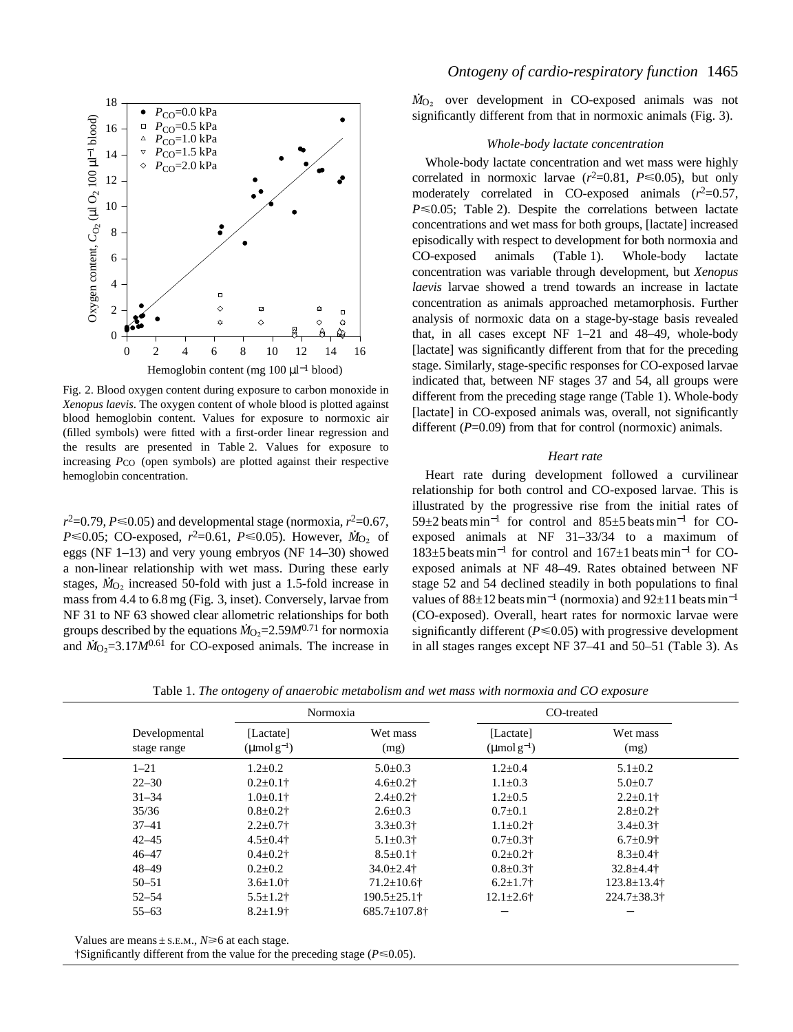

Fig. 2. Blood oxygen content during exposure to carbon monoxide in *Xenopus laevis*. The oxygen content of whole blood is plotted against blood hemoglobin content. Values for exposure to normoxic air (filled symbols) were fitted with a first-order linear regression and the results are presented in Table 2. Values for exposure to increasing  $P_{\text{CO}}$  (open symbols) are plotted against their respective hemoglobin concentration.

 $r^2$ =0.79, *P* ≤0.05) and developmental stage (normoxia,  $r^2$ =0.67, *P* $\leq$ 0.05; CO-exposed, *r*<sup>2</sup>=0.61, *P* $\leq$ 0.05). However, *N*<sub>O2</sub> of eggs (NF 1–13) and very young embryos (NF 14–30) showed a non-linear relationship with wet mass. During these early stages,  $\dot{M}_{\text{O}_2}$  increased 50-fold with just a 1.5-fold increase in mass from 4.4 to 6.8 mg (Fig. 3, inset). Conversely, larvae from NF 31 to NF 63 showed clear allometric relationships for both groups described by the equations  $M_{\text{O}_2}$ =2.59 $M^{0.71}$  for normoxia groups described by the equations  $M_0$ <sub>2</sub>-2.37*M*<sup>36</sup> for CO-exposed animals. The increase in

# *Ontogeny of cardio-respiratory function* 1465

 $\dot{M}_{\text{O}_2}$  over development in CO-exposed animals was not significantly different from that in normoxic animals (Fig. 3).

### *Whole-body lactate concentration*

Whole-body lactate concentration and wet mass were highly correlated in normoxic larvae  $(r^2=0.81, P \le 0.05)$ , but only moderately correlated in CO-exposed animals  $(r^2=0.57,$  $P \le 0.05$ ; Table 2). Despite the correlations between lactate concentrations and wet mass for both groups, [lactate] increased episodically with respect to development for both normoxia and CO-exposed animals (Table 1). Whole-body lactate concentration was variable through development, but *Xenopus laevis* larvae showed a trend towards an increase in lactate concentration as animals approached metamorphosis. Further analysis of normoxic data on a stage-by-stage basis revealed that, in all cases except NF 1–21 and 48–49, whole-body [lactate] was significantly different from that for the preceding stage. Similarly, stage-specific responses for CO-exposed larvae indicated that, between NF stages 37 and 54, all groups were different from the preceding stage range (Table 1). Whole-body [lactate] in CO-exposed animals was, overall, not significantly different (*P*=0.09) from that for control (normoxic) animals.

### *Heart rate*

Heart rate during development followed a curvilinear relationship for both control and CO-exposed larvae. This is illustrated by the progressive rise from the initial rates of 59±2 beats min−<sup>1</sup> for control and 85±5 beats min−<sup>1</sup> for COexposed animals at NF 31–33/34 to a maximum of 183±5 beats min−<sup>1</sup> for control and 167±1 beats min−<sup>1</sup> for COexposed animals at NF 48–49. Rates obtained between NF stage 52 and 54 declined steadily in both populations to final values of  $88\pm12$  beats min<sup>-1</sup> (normoxia) and  $92\pm11$  beats min<sup>-1</sup> (CO-exposed). Overall, heart rates for normoxic larvae were significantly different  $(P \le 0.05)$  with progressive development in all stages ranges except NF 37–41 and 50–51 (Table 3). As

| Table 1. The ontogeny of anaerobic metabolism and wet mass with normoxia and CO exposure |
|------------------------------------------------------------------------------------------|
|------------------------------------------------------------------------------------------|

|                              |                                             | Normoxia            |                                             | CO-treated                    |  |  |
|------------------------------|---------------------------------------------|---------------------|---------------------------------------------|-------------------------------|--|--|
| Developmental<br>stage range | [Lactate]<br>$(\text{µmol}\,\text{g}^{-1})$ | Wet mass<br>(mg)    | [Lactate]<br>$(\text{µmol}\,\text{g}^{-1})$ | Wet mass<br>(mg)              |  |  |
| $1 - 21$                     | $1.2 \pm 0.2$                               | $5.0 \pm 0.3$       | $1.2 \pm 0.4$                               | $5.1 \pm 0.2$                 |  |  |
| $22 - 30$                    | $0.2 \pm 0.1$ †                             | $4.6 \pm 0.2$ †     | $1.1 \pm 0.3$                               | $5.0 \pm 0.7$                 |  |  |
| $31 - 34$                    | $1.0 \pm 0.1$ †                             | $2.4 \pm 0.2$ †     | $1.2 \pm 0.5$                               | $2.2 \pm 0.1$ †               |  |  |
| 35/36                        | $0.8 \pm 0.2$ †                             | $2.6 \pm 0.3$       | $0.7 \pm 0.1$                               | $2.8 \pm 0.2$ †               |  |  |
| $37 - 41$                    | $2.2 \pm 0.7$ †                             | $3.3 \pm 0.3$ †     | $1.1 \pm 0.2$ †                             | $3.4 \pm 0.3$ †               |  |  |
| $42 - 45$                    | $4.5 \pm 0.4$ †                             | $5.1 \pm 0.3$ †     | $0.7 \pm 0.3$ †                             | $6.7 \pm 0.9$ †               |  |  |
| $46 - 47$                    | $0.4 \pm 0.2$ †                             | $8.5 \pm 0.1$ †     | $0.2 \pm 0.2$ †                             | $8.3 \pm 0.4$ †               |  |  |
| $48 - 49$                    | $0.2 \pm 0.2$                               | $34.0 \pm 2.4$ †    | $0.8 \pm 0.3$ †                             | $32.8 \pm 4.4$ †              |  |  |
| $50 - 51$                    | $3.6 \pm 1.0$ †                             | $71.2 \pm 10.6$ †   | $6.2 \pm 1.7$ †                             | $123.8 \pm 13.4$ †            |  |  |
| $52 - 54$                    | $5.5 \pm 1.2$ †                             | $190.5 \pm 25.1$ †  | $12.1 \pm 2.6$ †                            | $224.7 \pm 38.3$ <sup>†</sup> |  |  |
| $55 - 63$                    | $8.2 \pm 1.9$ †                             | $685.7 \pm 107.8$ † |                                             |                               |  |  |
|                              |                                             |                     |                                             |                               |  |  |

Values are means  $\pm$  S.E.M.,  $N \ge 6$  at each stage.

 $\dagger$ Significantly different from the value for the preceding stage ( $P \le 0.05$ ).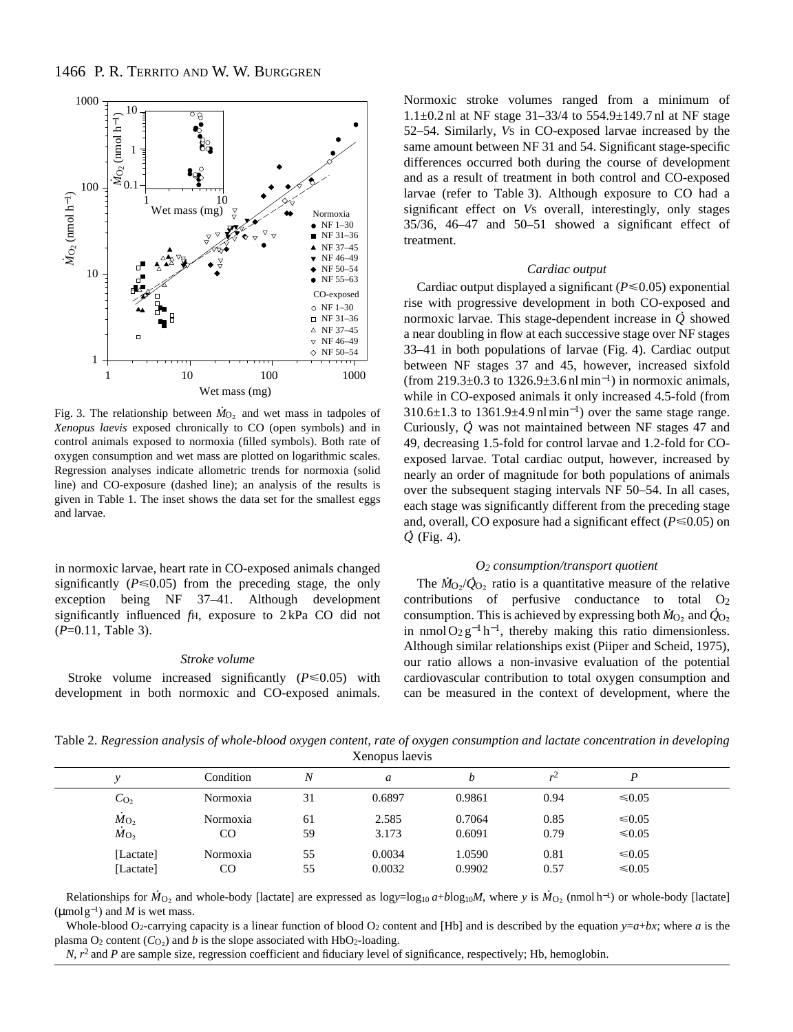

Fig. 3. The relationship between  $\dot{M}_{\text{O}_2}$  and wet mass in tadpoles of *Xenopus laevis* exposed chronically to CO (open symbols) and in control animals exposed to normoxia (filled symbols). Both rate of oxygen consumption and wet mass are plotted on logarithmic scales. Regression analyses indicate allometric trends for normoxia (solid line) and CO-exposure (dashed line); an analysis of the results is given in Table 1. The inset shows the data set for the smallest eggs and larvae.

in normoxic larvae, heart rate in CO-exposed animals changed significantly  $(P \le 0.05)$  from the preceding stage, the only exception being NF 37–41. Although development significantly influenced *f*H, exposure to 2 kPa CO did not (*P*=0.11, Table 3).

### *Stroke volume*

Stroke volume increased significantly  $(P \le 0.05)$  with development in both normoxic and CO-exposed animals. Normoxic stroke volumes ranged from a minimum of 1.1±0.2 nl at NF stage 31–33/4 to 554.9±149.7 nl at NF stage 52–54. Similarly, *V*S in CO-exposed larvae increased by the same amount between NF 31 and 54. Significant stage-specific differences occurred both during the course of development and as a result of treatment in both control and CO-exposed larvae (refer to Table 3). Although exposure to CO had a significant effect on *V*S overall, interestingly, only stages 35/36, 46–47 and 50–51 showed a significant effect of treatment.

### *Cardiac output*

Cardiac output displayed a significant  $(P \le 0.05)$  exponential rise with progressive development in both CO-exposed and normoxic larvae. This stage-dependent increase in *Q* showed a near doubling in flow at each successive stage over NF stages 33–41 in both populations of larvae (Fig. 4). Cardiac output between NF stages 37 and 45, however, increased sixfold (from 219.3 $\pm$ 0.3 to 1326.9 $\pm$ 3.6 nl min<sup>-1</sup>) in normoxic animals, while in CO-exposed animals it only increased 4.5-fold (from 310.6±1.3 to 1361.9±4.9 nl min<sup>−</sup>1) over the same stage range. STO.0 $\pm$ 1.5 to 1501.9 $\pm$ 4.9 in min  $\pm$  ) over the same stage range.<br>Curiously,  $\dot{Q}$  was not maintained between NF stages 47 and 49, decreasing 1.5-fold for control larvae and 1.2-fold for COexposed larvae. Total cardiac output, however, increased by nearly an order of magnitude for both populations of animals over the subsequent staging intervals NF 50–54. In all cases, each stage was significantly different from the preceding stage and, overall, CO exposure had a significant effect ( $P \le 0.05$ ) on *Q* (Fig. 4).

### *O2 consumption/transport quotient*

The  $\dot{M}_{\text{O}_2}/\dot{Q}_{\text{O}_2}$  ratio is a quantitative measure of the relative contributions of perfusive conductance to total O<sub>2</sub> consumption. This is achieved by expressing both  $\dot{M}_{\text{O}_2}$  and  $\dot{Q}_{\text{O}_2}$ in nmol  $O_2 g^{-1} h^{-1}$ , thereby making this ratio dimensionless. Although similar relationships exist (Piiper and Scheid, 1975), our ratio allows a non-invasive evaluation of the potential cardiovascular contribution to total oxygen consumption and can be measured in the context of development, where the

Table 2. *Regression analysis of whole-blood oxygen content, rate of oxygen consumption and lactate concentration in developing* Xenopus laevis

|  |                                    | Condition | N  | a      |        | v    |             |  |
|--|------------------------------------|-----------|----|--------|--------|------|-------------|--|
|  | $C_{\text{O}_2}$                   | Normoxia  | 31 | 0.6897 | 0.9861 | 0.94 | $\leq 0.05$ |  |
|  | $M_{O_2}$                          | Normoxia  | 61 | 2.585  | 0.7064 | 0.85 | ≤ $0.05$    |  |
|  | $\dot{M}$ <sub>O<sub>2</sub></sub> | CO        | 59 | 3.173  | 0.6091 | 0.79 | $≤ 0.05$    |  |
|  | [Lactate]                          | Normoxia  | 55 | 0.0034 | 1.0590 | 0.81 | $\leq 0.05$ |  |
|  | [Lactate]                          | CO        | 55 | 0.0032 | 0.9902 | 0.57 | $≤ 0.05$    |  |

Relationships for  $\dot{M}_{\text{O}_2}$  and whole-body [lactate] are expressed as logy=log<sub>10</sub> a+blog<sub>10</sub>M, where *y* is  $\dot{M}_{\text{O}_2}$  (nmol h<sup>-1</sup>) or whole-body [lactate] ( $\mu$ molg<sup>-1</sup>) and *M* is wet mass.

Whole-blood O<sub>2</sub>-carrying capacity is a linear function of blood O<sub>2</sub> content and [Hb] and is described by the equation  $y=a+bx$ ; where *a* is the plasma  $O_2$  content  $(C_O)$  and *b* is the slope associated with HbO<sub>2</sub>-loading.

*N*,  $r^2$  and *P* are sample size, regression coefficient and fiduciary level of significance, respectively; Hb, hemoglobin.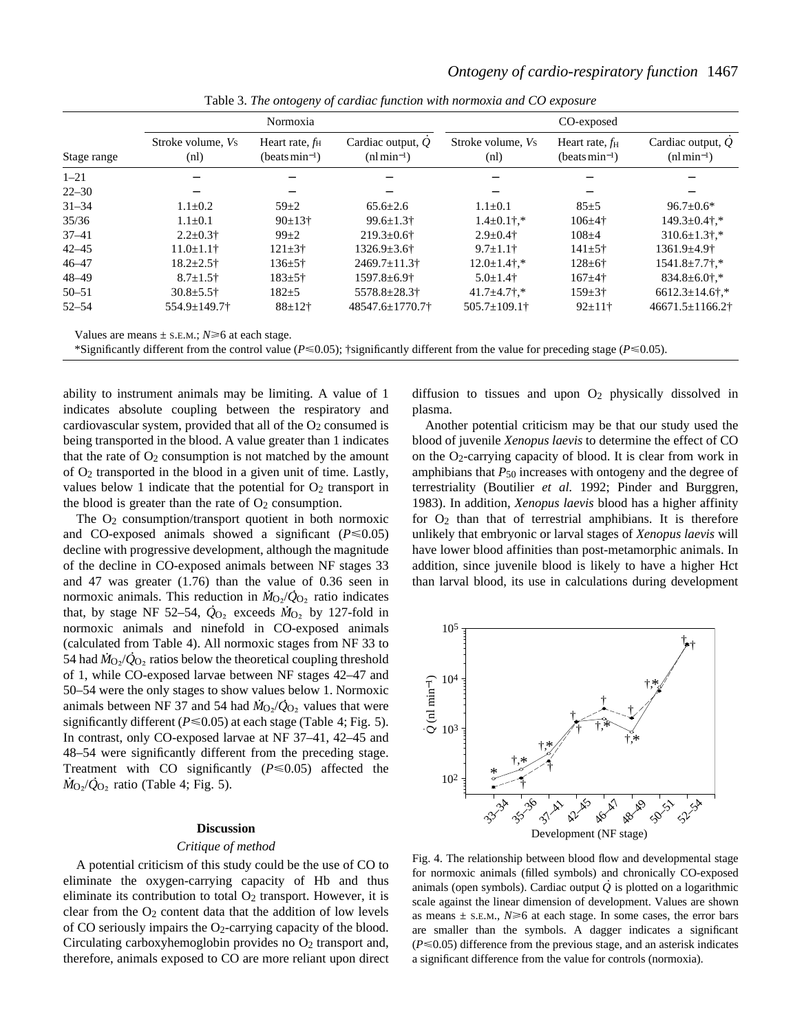|             | Normoxia                         |                                                       |                                    | CO-exposed                   |                                                |                                     |  |
|-------------|----------------------------------|-------------------------------------------------------|------------------------------------|------------------------------|------------------------------------------------|-------------------------------------|--|
| Stage range | Stroke volume, <i>Vs</i><br>(nl) | Heart rate, $f_{\rm H}$<br>(beats min <sup>-1</sup> ) | Cardiac output, $Q$<br>$(nlmin-1)$ | Stroke volume, Vs<br>(n!)    | Heart rate, $f_{\rm H}$<br>(beats $min^{-1}$ ) | Cardiac output, $Q$<br>$(nl min-1)$ |  |
| $1 - 21$    |                                  |                                                       |                                    |                              |                                                |                                     |  |
| $22 - 30$   |                                  |                                                       |                                    |                              |                                                |                                     |  |
| $31 - 34$   | $1.1 \pm 0.2$                    | $59 + 2$                                              | $65.6 + 2.6$                       | $1.1 + 0.1$                  | $85+5$                                         | $96.7 \pm 0.6^*$                    |  |
| 35/36       | $1.1 \pm 0.1$                    | $90±13$ <sup>+</sup>                                  | $99.6 \pm 1.3$ †                   | $1.4\pm0.1$ $\dagger$ .*     | $106 \pm 4$ †                                  | $149.3 \pm 0.4$ .*                  |  |
| $37 - 41$   | $2.2 \pm 0.3$ †                  | $99 + 2$                                              | $219.3 \pm 0.6$ †                  | $2.9 \pm 0.4$ †              | $108 + 4$                                      | $310.6 \pm 1.3$ ;*                  |  |
| $42 - 45$   | $11.0 \pm 1.1$ †                 | $121 \pm 3$ <sup>†</sup>                              | $1326.9 \pm 3.6$ †                 | $9.7 \pm 1.1$ †              | $141 \pm 5$ †                                  | $1361.9 \pm 4.9$ <sup>+</sup>       |  |
| $46 - 47$   | $18.2 \pm 2.5$ †                 | $136 \pm 5$ †                                         | $2469.7 \pm 11.3$                  | $12.0 \pm 1.4$ $\ddagger$ .* | $128 \pm 6^+$                                  | $1541.8 \pm 7.7$ $\ddagger$ .*      |  |
| $48 - 49$   | $8.7 \pm 1.5$ †                  | $183 + 5$ †                                           | $1597.8 \pm 6.9$ <sup>+</sup>      | $5.0 \pm 1.4$ †              | $167 + 4$                                      | $834.8 \pm 6.0$ †.*                 |  |
| $50 - 51$   | $30.8 \pm 5.5$ †                 | $182 + 5$                                             | 5578.8±28.3†                       | $41.7 \pm 4.7$ $\ddagger$ .* | $159 \pm 3+$                                   | $6612.3 \pm 14.6$ ;*                |  |
| $52 - 54$   | $554.9 \pm 149.7$                | $88 + 12$ †                                           | $48547.6 \pm 1770.7$               | $505.7 \pm 109.1$            | $92 \pm 11$ †                                  | $46671.5 \pm 1166.2$                |  |

Table 3. *The ontogeny of cardiac function with normoxia and CO exposure*

Values are means  $\pm$  s.E.M.;  $N \ge 6$  at each stage.

\*Significantly different from the control value ( $P \le 0.05$ ); †significantly different from the value for preceding stage ( $P \le 0.05$ ).

ability to instrument animals may be limiting. A value of 1 indicates absolute coupling between the respiratory and cardiovascular system, provided that all of the  $O_2$  consumed is being transported in the blood. A value greater than 1 indicates that the rate of  $O_2$  consumption is not matched by the amount of O2 transported in the blood in a given unit of time. Lastly, values below 1 indicate that the potential for  $O_2$  transport in the blood is greater than the rate of  $O<sub>2</sub>$  consumption.

The  $O<sub>2</sub>$  consumption/transport quotient in both normoxic and CO-exposed animals showed a significant  $(P \le 0.05)$ decline with progressive development, although the magnitude of the decline in CO-exposed animals between NF stages 33 and 47 was greater  $(1.76)$  than the value of 0.36 seen in normoxic animals. This reduction in  $\dot{M}_{\text{O}_2}/\dot{Q}_{\text{O}_2}$  ratio indicates that, by stage NF 52–54,  $\dot{Q}_{O_2}$  exceeds  $\dot{M}_{O_2}$  by 127-fold in normoxic animals and ninefold in CO-exposed animals (calculated from Table 4). All normoxic stages from NF 33 to . . 54 had  $\dot{M}_{\text{O}_2}/\dot{Q}_{\text{O}_2}$  ratios below the theoretical coupling threshold of 1, while CO-exposed larvae between NF stages 42–47 and 50–54 were the only stages to show values below 1. Normoxic animals between NF 37 and 54 had  $\dot{M}_{O_2}/\dot{Q}_{O_2}$  values that were significantly different ( $P \le 0.05$ ) at each stage (Table 4; Fig. 5). In contrast, only CO-exposed larvae at NF 37–41, 42–45 and 48–54 were significantly different from the preceding stage. Treatment with CO significantly  $(P \le 0.05)$  affected the  $\dot{M}_{\text{O}_2}/\dot{Q}_{\text{O}_2}$  ratio (Table 4; Fig. 5).

### **Discussion**

### *Critique of method*

A potential criticism of this study could be the use of CO to eliminate the oxygen-carrying capacity of Hb and thus eliminate its contribution to total  $O_2$  transport. However, it is clear from the  $O_2$  content data that the addition of low levels of CO seriously impairs the  $O_2$ -carrying capacity of the blood. Circulating carboxyhemoglobin provides no  $O<sub>2</sub>$  transport and, therefore, animals exposed to CO are more reliant upon direct diffusion to tissues and upon  $O_2$  physically dissolved in plasma.

Another potential criticism may be that our study used the blood of juvenile *Xenopus laevis* to determine the effect of CO on the  $O<sub>2</sub>$ -carrying capacity of blood. It is clear from work in amphibians that  $P_{50}$  increases with ontogeny and the degree of terrestriality (Boutilier *et al.* 1992; Pinder and Burggren, 1983). In addition, *Xenopus laevis* blood has a higher affinity for  $O<sub>2</sub>$  than that of terrestrial amphibians. It is therefore unlikely that embryonic or larval stages of *Xenopus laevis* will have lower blood affinities than post-metamorphic animals. In addition, since juvenile blood is likely to have a higher Hct than larval blood, its use in calculations during development



Fig. 4. The relationship between blood flow and developmental stage for normoxic animals (filled symbols) and chronically CO-exposed . animals (open symbols). Cardiac output *Q* is plotted on a logarithmic scale against the linear dimension of development. Values are shown as means  $\pm$  s.E.M.,  $N \ge 6$  at each stage. In some cases, the error bars are smaller than the symbols. A dagger indicates a significant  $(P \le 0.05)$  difference from the previous stage, and an asterisk indicates a significant difference from the value for controls (normoxia).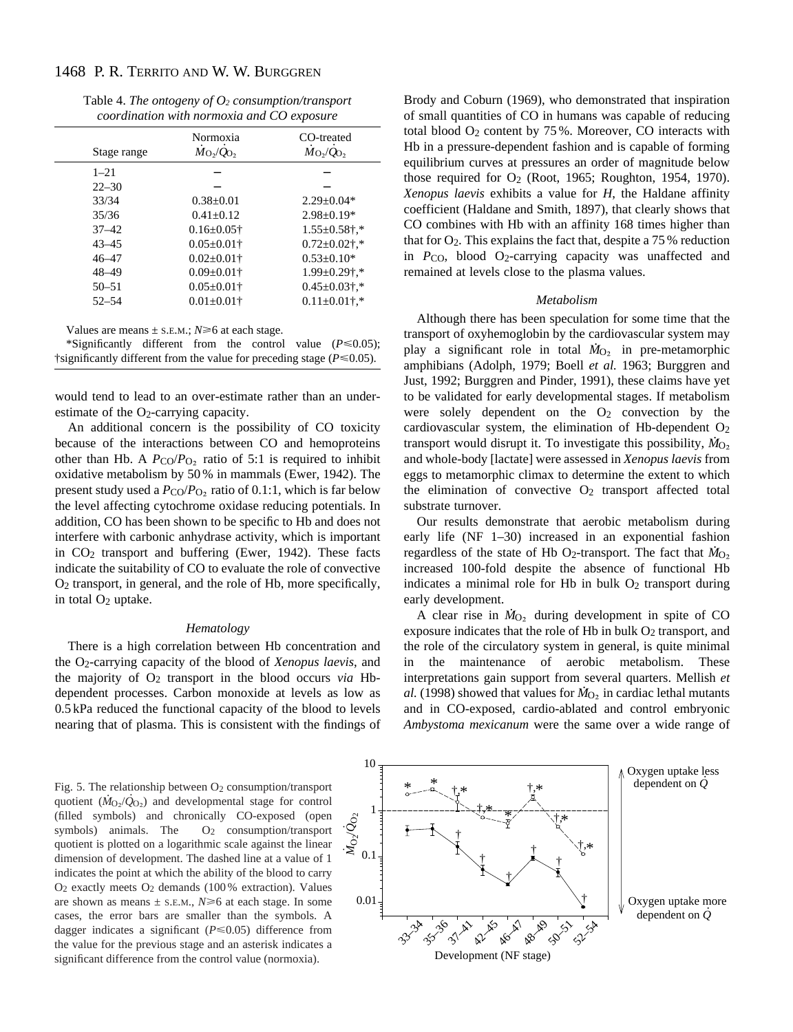| Table 4. The ontogeny of $O_2$ consumption/transport |  |
|------------------------------------------------------|--|
| coordination with normoxia and CO exposure           |  |

|             | Normoxia                              | CO-treated                |  |  |
|-------------|---------------------------------------|---------------------------|--|--|
| Stage range | $\dot{M}_{\rm O_2}/\dot{Q}_{\rm O_2}$ | $M_{\rm O_2}/Q_{\rm O_2}$ |  |  |
| $1 - 21$    |                                       |                           |  |  |
| $22 - 30$   |                                       |                           |  |  |
| 33/34       | $0.38 + 0.01$                         | $2.29 + 0.04*$            |  |  |
| 35/36       | $0.41 + 0.12$                         | $2.98 \pm 0.19*$          |  |  |
| $37 - 42$   | $0.16 \pm 0.05$ †                     | $1.55 \pm 0.58$ †,*       |  |  |
| $43 - 45$   | $0.05 \pm 0.01$ †                     | $0.72 \pm 0.02$ †,*       |  |  |
| $46 - 47$   | $0.02 \pm 0.01$ †                     | $0.53 \pm 0.10*$          |  |  |
| $48 - 49$   | $0.09 \pm 0.01$ †                     | $1.99 \pm 0.29$ †,*       |  |  |
| $50 - 51$   | $0.05 \pm 0.01$ †                     | $0.45 \pm 0.03$ †,*       |  |  |
| $52 - 54$   | $0.01 \pm 0.01$ †                     | $0.11 \pm 0.01$ †,*       |  |  |

Values are means  $\pm$  s.e.m.;  $N \ge 6$  at each stage.

| *Significantly different from the control value ( $P \le 0.05$ );             |  |  |  |
|-------------------------------------------------------------------------------|--|--|--|
| †significantly different from the value for preceding stage ( $P \le 0.05$ ). |  |  |  |

would tend to lead to an over-estimate rather than an underestimate of the  $O<sub>2</sub>$ -carrying capacity.

An additional concern is the possibility of CO toxicity because of the interactions between CO and hemoproteins other than Hb. A  $P_{\text{CO}}/P_{\text{O}_2}$  ratio of 5:1 is required to inhibit oxidative metabolism by 50 % in mammals (Ewer, 1942). The present study used a  $P_{\rm CO}/P_{\rm O_2}$  ratio of 0.1:1, which is far below the level affecting cytochrome oxidase reducing potentials. In addition, CO has been shown to be specific to Hb and does not interfere with carbonic anhydrase activity, which is important in CO2 transport and buffering (Ewer, 1942). These facts indicate the suitability of CO to evaluate the role of convective O2 transport, in general, and the role of Hb, more specifically, in total  $O<sub>2</sub>$  uptake.

### *Hematology*

There is a high correlation between Hb concentration and the O2-carrying capacity of the blood of *Xenopus laevis*, and the majority of  $O_2$  transport in the blood occurs *via* Hbdependent processes. Carbon monoxide at levels as low as 0.5 kPa reduced the functional capacity of the blood to levels nearing that of plasma. This is consistent with the findings of Brody and Coburn (1969), who demonstrated that inspiration of small quantities of CO in humans was capable of reducing total blood  $O_2$  content by 75%. Moreover, CO interacts with Hb in a pressure-dependent fashion and is capable of forming equilibrium curves at pressures an order of magnitude below those required for  $O_2$  (Root, 1965; Roughton, 1954, 1970). *Xenopus laevis* exhibits a value for *H*, the Haldane affinity coefficient (Haldane and Smith, 1897), that clearly shows that CO combines with Hb with an affinity 168 times higher than that for  $O_2$ . This explains the fact that, despite a 75 % reduction in *P*<sub>CO</sub>, blood O<sub>2</sub>-carrying capacity was unaffected and remained at levels close to the plasma values.

### *Metabolism*

Although there has been speculation for some time that the transport of oxyhemoglobin by the cardiovascular system may . play a significant role in total  $\dot{M}_{\text{O}_2}$  in pre-metamorphic amphibians (Adolph, 1979; Boell *et al.* 1963; Burggren and Just, 1992; Burggren and Pinder, 1991), these claims have yet to be validated for early developmental stages. If metabolism were solely dependent on the  $O<sub>2</sub>$  convection by the cardiovascular system, the elimination of Hb-dependent O2 . transport would disrupt it. To investigate this possibility,  $\dot{M}_{O_2}$ and whole-body [lactate] were assessed in *Xenopus laevis* from eggs to metamorphic climax to determine the extent to which the elimination of convective  $O_2$  transport affected total substrate turnover.

Our results demonstrate that aerobic metabolism during early life (NF 1–30) increased in an exponential fashion regardless of the state of Hb O<sub>2</sub>-transport. The fact that  $\dot{M}_{\text{O}_2}$ increased 100-fold despite the absence of functional Hb indicates a minimal role for Hb in bulk  $O<sub>2</sub>$  transport during early development.

A clear rise in  $\dot{M}_{O_2}$  during development in spite of CO exposure indicates that the role of Hb in bulk O<sub>2</sub> transport, and the role of the circulatory system in general, is quite minimal in the maintenance of aerobic metabolism. These interpretations gain support from several quarters. Mellish *et*  $a$ . (1998) showed that values for  $M_{O_2}$  in cardiac lethal mutants and in CO-exposed, cardio-ablated and control embryonic *Ambystoma mexicanum* were the same over a wide range of

Fig. 5. The relationship between O<sub>2</sub> consumption/transport quotient  $(M_{\text{O}_2}/\dot{Q}_{\text{O}_2})$  and developmental stage for control (filled symbols) and chronically CO-exposed (open symbols) animals. The  $O_2$  consumption/transport quotient is plotted on a logarithmic scale against the linear dimension of development. The dashed line at a value of 1 indicates the point at which the ability of the blood to carry  $O<sub>2</sub>$  exactly meets  $O<sub>2</sub>$  demands (100 % extraction). Values are shown as means  $\pm$  s.e.m.,  $N \ge 6$  at each stage. In some cases, the error bars are smaller than the symbols. A dagger indicates a significant (*P*<0.05) difference from the value for the previous stage and an asterisk indicates a significant difference from the control value (normoxia).

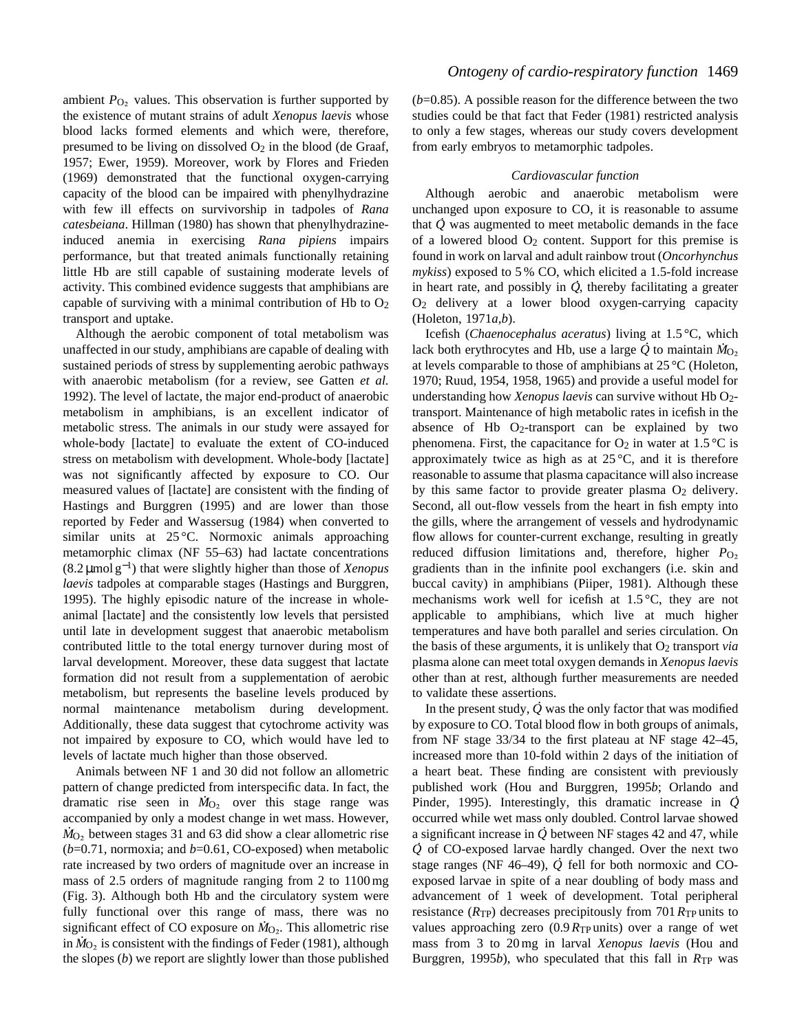ambient  $P_{\text{O}_2}$  values. This observation is further supported by the existence of mutant strains of adult *Xenopus laevis* whose blood lacks formed elements and which were, therefore, presumed to be living on dissolved  $O_2$  in the blood (de Graaf, 1957; Ewer, 1959). Moreover, work by Flores and Frieden (1969) demonstrated that the functional oxygen-carrying capacity of the blood can be impaired with phenylhydrazine with few ill effects on survivorship in tadpoles of *Rana catesbeiana*. Hillman (1980) has shown that phenylhydrazineinduced anemia in exercising *Rana pipiens* impairs performance, but that treated animals functionally retaining little Hb are still capable of sustaining moderate levels of activity. This combined evidence suggests that amphibians are capable of surviving with a minimal contribution of Hb to  $O<sub>2</sub>$ transport and uptake.

Although the aerobic component of total metabolism was unaffected in our study, amphibians are capable of dealing with sustained periods of stress by supplementing aerobic pathways with anaerobic metabolism (for a review, see Gatten *et al.* 1992). The level of lactate, the major end-product of anaerobic metabolism in amphibians, is an excellent indicator of metabolic stress. The animals in our study were assayed for whole-body [lactate] to evaluate the extent of CO-induced stress on metabolism with development. Whole-body [lactate] was not significantly affected by exposure to CO. Our measured values of [lactate] are consistent with the finding of Hastings and Burggren (1995) and are lower than those reported by Feder and Wassersug (1984) when converted to similar units at  $25^{\circ}$ C. Normoxic animals approaching metamorphic climax (NF 55–63) had lactate concentrations (8.2 µmol g<sup>−</sup>1) that were slightly higher than those of *Xenopus laevis* tadpoles at comparable stages (Hastings and Burggren, 1995). The highly episodic nature of the increase in wholeanimal [lactate] and the consistently low levels that persisted until late in development suggest that anaerobic metabolism contributed little to the total energy turnover during most of larval development. Moreover, these data suggest that lactate formation did not result from a supplementation of aerobic metabolism, but represents the baseline levels produced by normal maintenance metabolism during development. Additionally, these data suggest that cytochrome activity was not impaired by exposure to CO, which would have led to levels of lactate much higher than those observed.

Animals between NF 1 and 30 did not follow an allometric pattern of change predicted from interspecific data. In fact, the  $\mu$  and the mange predicted from interspective data. In fact, the dramatic rise seen in  $\dot{M}_{O_2}$  over this stage range was accompanied by only a modest change in wet mass. However, .  $\dot{M}_{\text{O}_2}$  between stages 31 and 63 did show a clear allometric rise  $(b=0.71,$  normoxia; and  $b=0.61$ , CO-exposed) when metabolic rate increased by two orders of magnitude over an increase in mass of 2.5 orders of magnitude ranging from 2 to 1100 mg (Fig. 3). Although both Hb and the circulatory system were fully functional over this range of mass, there was no significant effect of CO exposure on  $\dot{M}_{\text{O}_2}$ . This allometric rise in  $\dot{M}_{\text{O}_2}$  is consistent with the findings of Feder (1981), although the slopes (*b*) we report are slightly lower than those published

 $(b=0.85)$ . A possible reason for the difference between the two studies could be that fact that Feder (1981) restricted analysis to only a few stages, whereas our study covers development from early embryos to metamorphic tadpoles.

# *Cardiovascular function*

Although aerobic and anaerobic metabolism were unchanged upon exposure to CO, it is reasonable to assume . that *Q* was augmented to meet metabolic demands in the face of a lowered blood  $O_2$  content. Support for this premise is found in work on larval and adult rainbow trout (*Oncorhynchus* mykiss) exposed to 5 % CO, which elicited a 1.5-fold increase in heart rate, and possibly in *Q* , thereby facilitating a greater O2 delivery at a lower blood oxygen-carrying capacity (Holeton, 1971*a*,*b*).

Icefish (*Chaenocephalus aceratus*) living at 1.5 °C, which . . lack both erythrocytes and Hb, use a large  $\dot{Q}$  to maintain  $\dot{M}_{O_2}$ at levels comparable to those of amphibians at 25 °C (Holeton, 1970; Ruud, 1954, 1958, 1965) and provide a useful model for understanding how *Xenopus laevis* can survive without Hb O2 transport. Maintenance of high metabolic rates in icefish in the absence of Hb  $O<sub>2</sub>$ -transport can be explained by two phenomena. First, the capacitance for  $O_2$  in water at 1.5 °C is approximately twice as high as at  $25^{\circ}$ C, and it is therefore reasonable to assume that plasma capacitance will also increase by this same factor to provide greater plasma  $O_2$  delivery. Second, all out-flow vessels from the heart in fish empty into the gills, where the arrangement of vessels and hydrodynamic flow allows for counter-current exchange, resulting in greatly reduced diffusion limitations and, therefore, higher *P*<sub>O2</sub> gradients than in the infinite pool exchangers (i.e. skin and buccal cavity) in amphibians (Piiper, 1981). Although these mechanisms work well for icefish at  $1.5\,^{\circ}\text{C}$ , they are not applicable to amphibians, which live at much higher temperatures and have both parallel and series circulation. On the basis of these arguments, it is unlikely that O2 transport *via* plasma alone can meet total oxygen demands in *Xenopus laevis* other than at rest, although further measurements are needed to validate these assertions. .

In the present study,  $\dot{Q}$  was the only factor that was modified by exposure to CO. Total blood flow in both groups of animals, from NF stage 33/34 to the first plateau at NF stage 42–45, increased more than 10-fold within 2 days of the initiation of a heart beat. These finding are consistent with previously published work (Hou and Burggren, 1995*b*; Orlando and . Pinder, 1995). Interestingly, this dramatic increase in *Q* occurred while wet mass only doubled. Control larvae showed . a significant increase in  $\dot{Q}$  between NF stages 42 and 47, while *Q* . of CO-exposed larvae hardly changed. Over the next two stage ranges (NF 46–49), *Q* . fell for both normoxic and COexposed larvae in spite of a near doubling of body mass and advancement of 1 week of development. Total peripheral resistance (*R*TP) decreases precipitously from 701*R*TP units to values approaching zero (0.9*R*TP units) over a range of wet mass from 3 to 20 mg in larval *Xenopus laevis* (Hou and Burggren, 1995*b*), who speculated that this fall in *R*<sub>TP</sub> was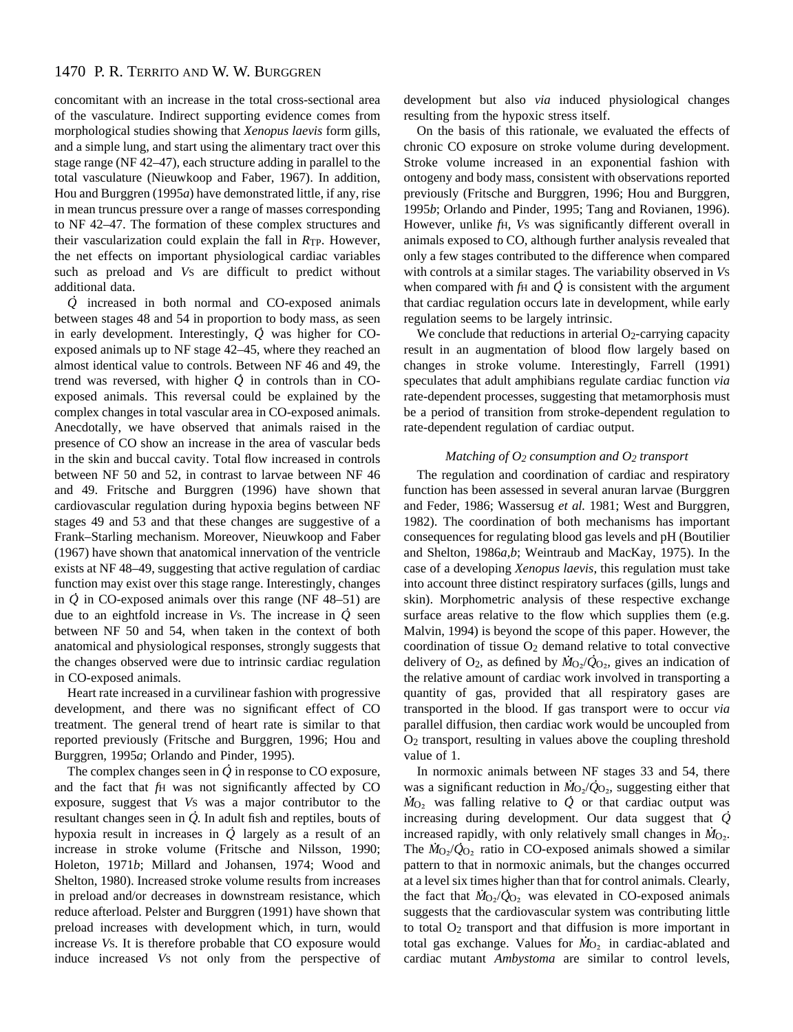concomitant with an increase in the total cross-sectional area of the vasculature. Indirect supporting evidence comes from morphological studies showing that *Xenopus laevis* form gills, and a simple lung, and start using the alimentary tract over this stage range (NF 42–47), each structure adding in parallel to the total vasculature (Nieuwkoop and Faber, 1967). In addition, Hou and Burggren (1995*a*) have demonstrated little, if any, rise in mean truncus pressure over a range of masses corresponding to NF 42–47. The formation of these complex structures and their vascularization could explain the fall in *R*TP. However, the net effects on important physiological cardiac variables such as preload and *V*S are difficult to predict without additional data.

*Q* . increased in both normal and CO-exposed animals between stages 48 and 54 in proportion to body mass, as seen in early development. Interestingly, *Q* . was higher for COexposed animals up to NF stage 42–45, where they reached an almost identical value to controls. Between NF 46 and 49, the trend was reversed, with higher  $\dot{Q}$  in controls than in COexposed animals. This reversal could be explained by the complex changes in total vascular area in CO-exposed animals. Anecdotally, we have observed that animals raised in the presence of CO show an increase in the area of vascular beds in the skin and buccal cavity. Total flow increased in controls between NF 50 and 52, in contrast to larvae between NF 46 and 49. Fritsche and Burggren (1996) have shown that cardiovascular regulation during hypoxia begins between NF stages 49 and 53 and that these changes are suggestive of a Frank–Starling mechanism. Moreover, Nieuwkoop and Faber (1967) have shown that anatomical innervation of the ventricle exists at NF 48–49, suggesting that active regulation of cardiac function may exist over this stage range. Interestingly, changes in *Q* . in CO-exposed animals over this range (NF 48–51) are an  $Q$  in CO-exposed animals over this range  $(NF 40-31)$  are due to an eightfold increase in *V*s. The increase in  $\dot{Q}$  seen between NF 50 and 54, when taken in the context of both anatomical and physiological responses, strongly suggests that the changes observed were due to intrinsic cardiac regulation in CO-exposed animals.

Heart rate increased in a curvilinear fashion with progressive development, and there was no significant effect of CO treatment. The general trend of heart rate is similar to that reported previously (Fritsche and Burggren, 1996; Hou and Burggren, 1995*a*; Orlando and Pinder, 1995).

The complex changes seen in  $\dot{\mathcal{Q}}$  in response to CO exposure, and the fact that *f*H was not significantly affected by CO exposure, suggest that *Vs* was a major contributor to the resultant changes seen in *Q* . In adult fish and reptiles, bouts of resultant changes seen in  $Q$ . In additional and repries, bodis of an hypoxia result in increases in  $\dot{Q}$  largely as a result of an increase in stroke volume (Fritsche and Nilsson, 1990; Holeton, 1971*b*; Millard and Johansen, 1974; Wood and Shelton, 1980). Increased stroke volume results from increases in preload and/or decreases in downstream resistance, which reduce afterload. Pelster and Burggren (1991) have shown that preload increases with development which, in turn, would increase *V*S. It is therefore probable that CO exposure would induce increased *V*S not only from the perspective of development but also *via* induced physiological changes resulting from the hypoxic stress itself.

On the basis of this rationale, we evaluated the effects of chronic CO exposure on stroke volume during development. Stroke volume increased in an exponential fashion with ontogeny and body mass, consistent with observations reported previously (Fritsche and Burggren, 1996; Hou and Burggren, 1995*b*; Orlando and Pinder, 1995; Tang and Rovianen, 1996). However, unlike *f*H, *V*S was significantly different overall in animals exposed to CO, although further analysis revealed that only a few stages contributed to the difference when compared with controls at a similar stages. The variability observed in *Vs* when compared with  $f$ H and  $\dot{Q}$  is consistent with the argument that cardiac regulation occurs late in development, while early regulation seems to be largely intrinsic.

We conclude that reductions in arterial  $O<sub>2</sub>$ -carrying capacity result in an augmentation of blood flow largely based on changes in stroke volume. Interestingly, Farrell (1991) speculates that adult amphibians regulate cardiac function *via* rate-dependent processes, suggesting that metamorphosis must be a period of transition from stroke-dependent regulation to rate-dependent regulation of cardiac output.

### *Matching of O2 consumption and O2 transport*

The regulation and coordination of cardiac and respiratory function has been assessed in several anuran larvae (Burggren and Feder, 1986; Wassersug *et al.* 1981; West and Burggren, 1982). The coordination of both mechanisms has important consequences for regulating blood gas levels and pH (Boutilier and Shelton, 1986*a*,*b*; Weintraub and MacKay, 1975). In the case of a developing *Xenopus laevis*, this regulation must take into account three distinct respiratory surfaces (gills, lungs and skin). Morphometric analysis of these respective exchange surface areas relative to the flow which supplies them (e.g. Malvin, 1994) is beyond the scope of this paper. However, the coordination of tissue O<sub>2</sub> demand relative to total convective delivery of  $O_2$ , as defined by  $\dot{M}_O_2/\dot{Q}_O_2$ , gives an indication of the relative amount of cardiac work involved in transporting a quantity of gas, provided that all respiratory gases are transported in the blood. If gas transport were to occur *via* parallel diffusion, then cardiac work would be uncoupled from O2 transport, resulting in values above the coupling threshold value of 1.

In normoxic animals between NF stages 33 and 54, there was a significant reduction in  $\dot{M}_{\text{O}_2}/\dot{Q}_{\text{O}_2}$ , suggesting either that was a significant reduction in  $M_0$ <sup>2</sup>/ $Q_0$ <sub>2</sub>, suggesting either that  $M_0$ <sub>2</sub> was falling relative to *Q* or that cardiac output was increasing during development. Our data suggest that *Q* . increased rapidly, with only relatively small changes in *M*<sub>O2</sub>. The  $\dot{M}_{\text{O}_2}/\dot{Q}_{\text{O}_2}$  ratio in CO-exposed animals showed a similar pattern to that in normoxic animals, but the changes occurred at a level six times higher than that for control animals. Clearly, the fact that  $\dot{M}_{\text{O}_2}/\dot{Q}_{\text{O}_2}$  was elevated in CO-exposed animals suggests that the cardiovascular system was contributing little to total O2 transport and that diffusion is more important in . total gas exchange. Values for  $\dot{M}_{\text{O}_2}$  in cardiac-ablated and cardiac mutant *Ambystoma* are similar to control levels,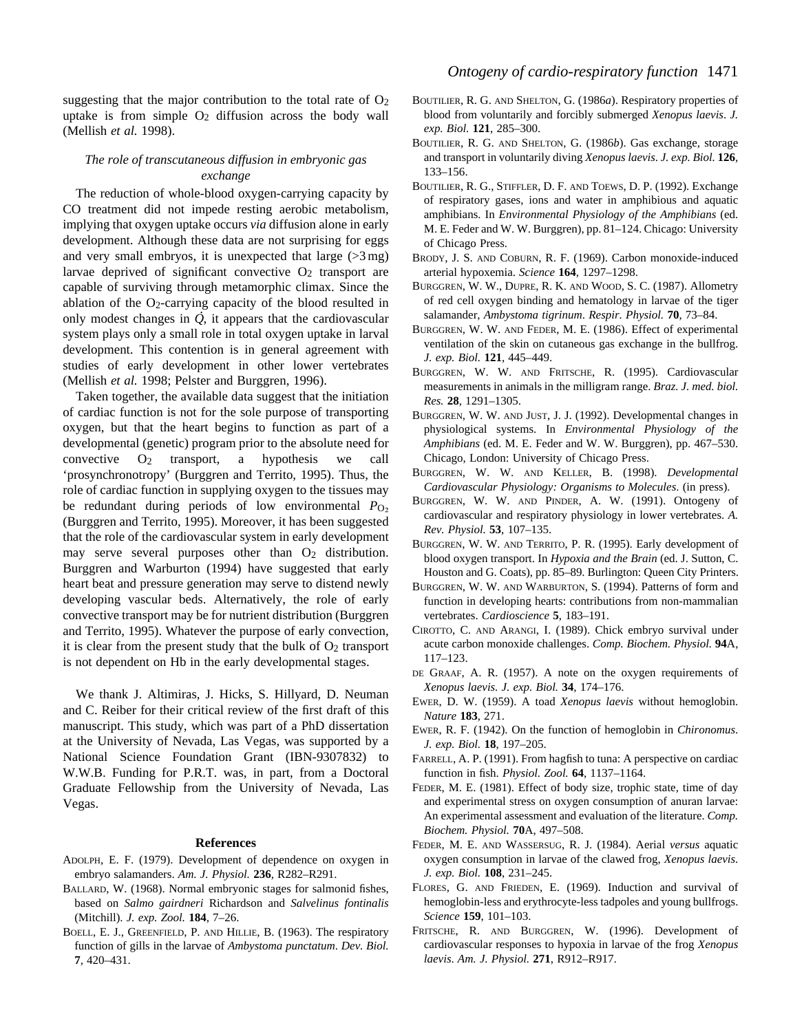suggesting that the major contribution to the total rate of  $O<sub>2</sub>$ uptake is from simple  $O<sub>2</sub>$  diffusion across the body wall (Mellish *et al.* 1998).

# *The role of transcutaneous diffusion in embryonic gas exchange*

The reduction of whole-blood oxygen-carrying capacity by CO treatment did not impede resting aerobic metabolism, implying that oxygen uptake occurs *via* diffusion alone in early development. Although these data are not surprising for eggs and very small embryos, it is unexpected that large  $(>\frac{3}{2}$  mg) larvae deprived of significant convective  $O_2$  transport are capable of surviving through metamorphic climax. Since the ablation of the O2-carrying capacity of the blood resulted in . only modest changes in *Q* , it appears that the cardiovascular system plays only a small role in total oxygen uptake in larval development. This contention is in general agreement with studies of early development in other lower vertebrates (Mellish *et al.* 1998; Pelster and Burggren, 1996).

Taken together, the available data suggest that the initiation of cardiac function is not for the sole purpose of transporting oxygen, but that the heart begins to function as part of a developmental (genetic) program prior to the absolute need for convective  $O_2$  transport, a hypothesis we call 'prosynchronotropy' (Burggren and Territo, 1995). Thus, the role of cardiac function in supplying oxygen to the tissues may be redundant during periods of low environmental *P*<sub>O</sub><sub>2</sub> (Burggren and Territo, 1995). Moreover, it has been suggested that the role of the cardiovascular system in early development may serve several purposes other than O<sub>2</sub> distribution. Burggren and Warburton (1994) have suggested that early heart beat and pressure generation may serve to distend newly developing vascular beds. Alternatively, the role of early convective transport may be for nutrient distribution (Burggren and Territo, 1995). Whatever the purpose of early convection, it is clear from the present study that the bulk of  $O<sub>2</sub>$  transport is not dependent on Hb in the early developmental stages.

We thank J. Altimiras, J. Hicks, S. Hillyard, D. Neuman and C. Reiber for their critical review of the first draft of this manuscript. This study, which was part of a PhD dissertation at the University of Nevada, Las Vegas, was supported by a National Science Foundation Grant (IBN-9307832) to W.W.B. Funding for P.R.T. was, in part, from a Doctoral Graduate Fellowship from the University of Nevada, Las Vegas.

### **References**

- ADOLPH, E. F. (1979). Development of dependence on oxygen in embryo salamanders. *Am. J. Physiol.* **236**, R282–R291.
- BALLARD, W. (1968). Normal embryonic stages for salmonid fishes, based on *Salmo gairdneri* Richardson and *Salvelinus fontinalis* (Mitchill). *J. exp. Zool.* **184**, 7–26.
- BOELL, E. J., GREENFIELD, P. AND HILLIE, B. (1963). The respiratory function of gills in the larvae of *Ambystoma punctatum*. *Dev. Biol.* **7**, 420–431.
- BOUTILIER, R. G. AND SHELTON, G. (1986*a*). Respiratory properties of blood from voluntarily and forcibly submerged *Xenopus laevis*. *J. exp. Biol.* **121**, 285–300.
- BOUTILIER, R. G. AND SHELTON, G. (1986*b*). Gas exchange, storage and transport in voluntarily diving *Xenopus laevis*. *J. exp. Biol.* **126**, 133–156.
- BOUTILIER, R. G., STIFFLER, D. F. AND TOEWS, D. P. (1992). Exchange of respiratory gases, ions and water in amphibious and aquatic amphibians. In *Environmental Physiology of the Amphibians* (ed. M. E. Feder and W. W. Burggren), pp. 81–124. Chicago: University of Chicago Press.
- BRODY, J. S. AND COBURN, R. F. (1969). Carbon monoxide-induced arterial hypoxemia. *Science* **164**, 1297–1298.
- BURGGREN, W. W., DUPRE, R. K. AND WOOD, S. C. (1987). Allometry of red cell oxygen binding and hematology in larvae of the tiger salamander, *Ambystoma tigrinum*. *Respir. Physiol.* **70**, 73–84.
- BURGGREN, W. W. AND FEDER, M. E. (1986). Effect of experimental ventilation of the skin on cutaneous gas exchange in the bullfrog. *J. exp. Biol.* **121**, 445–449.
- BURGGREN, W. W. AND FRITSCHE, R. (1995). Cardiovascular measurements in animals in the milligram range. *Braz. J. med. biol. Res.* **28**, 1291–1305.
- BURGGREN, W. W. AND JUST, J. J. (1992). Developmental changes in physiological systems. In *Environmental Physiology of the Amphibians* (ed. M. E. Feder and W. W. Burggren), pp. 467–530. Chicago, London: University of Chicago Press.
- BURGGREN, W. W. AND KELLER, B. (1998). *Developmental Cardiovascular Physiology: Organisms to Molecules*. (in press).
- BURGGREN, W. W. AND PINDER, A. W. (1991). Ontogeny of cardiovascular and respiratory physiology in lower vertebrates. *A. Rev. Physiol.* **53**, 107–135.
- BURGGREN, W. W. AND TERRITO, P. R. (1995). Early development of blood oxygen transport. In *Hypoxia and the Brain* (ed. J. Sutton, C. Houston and G. Coats), pp. 85–89. Burlington: Queen City Printers.
- BURGGREN, W. W. AND WARBURTON, S. (1994). Patterns of form and function in developing hearts: contributions from non-mammalian vertebrates. *Cardioscience* **5**, 183–191.
- CIROTTO, C. AND ARANGI, I. (1989). Chick embryo survival under acute carbon monoxide challenges. *Comp. Biochem. Physiol.* **94**A, 117–123.
- DE GRAAF, A. R. (1957). A note on the oxygen requirements of *Xenopus laevis. J. exp. Biol.* **34**, 174–176.
- EWER, D. W. (1959). A toad *Xenopus laevis* without hemoglobin. *Nature* **183**, 271.
- EWER, R. F. (1942). On the function of hemoglobin in *Chironomus*. *J. exp. Biol.* **18**, 197–205.
- FARRELL, A. P. (1991). From hagfish to tuna: A perspective on cardiac function in fish. *Physiol. Zool.* **64**, 1137–1164.
- FEDER, M. E. (1981). Effect of body size, trophic state, time of day and experimental stress on oxygen consumption of anuran larvae: An experimental assessment and evaluation of the literature. *Comp. Biochem. Physiol.* **70**A, 497–508.
- FEDER, M. E. AND WASSERSUG, R. J. (1984). Aerial *versus* aquatic oxygen consumption in larvae of the clawed frog, *Xenopus laevis*. *J. exp. Biol.* **108**, 231–245.
- FLORES, G. AND FRIEDEN, E. (1969). Induction and survival of hemoglobin-less and erythrocyte-less tadpoles and young bullfrogs. *Science* **159**, 101–103.
- FRITSCHE, R. AND BURGGREN, W. (1996). Development of cardiovascular responses to hypoxia in larvae of the frog *Xenopus laevis*. *Am. J. Physiol.* **271**, R912–R917.